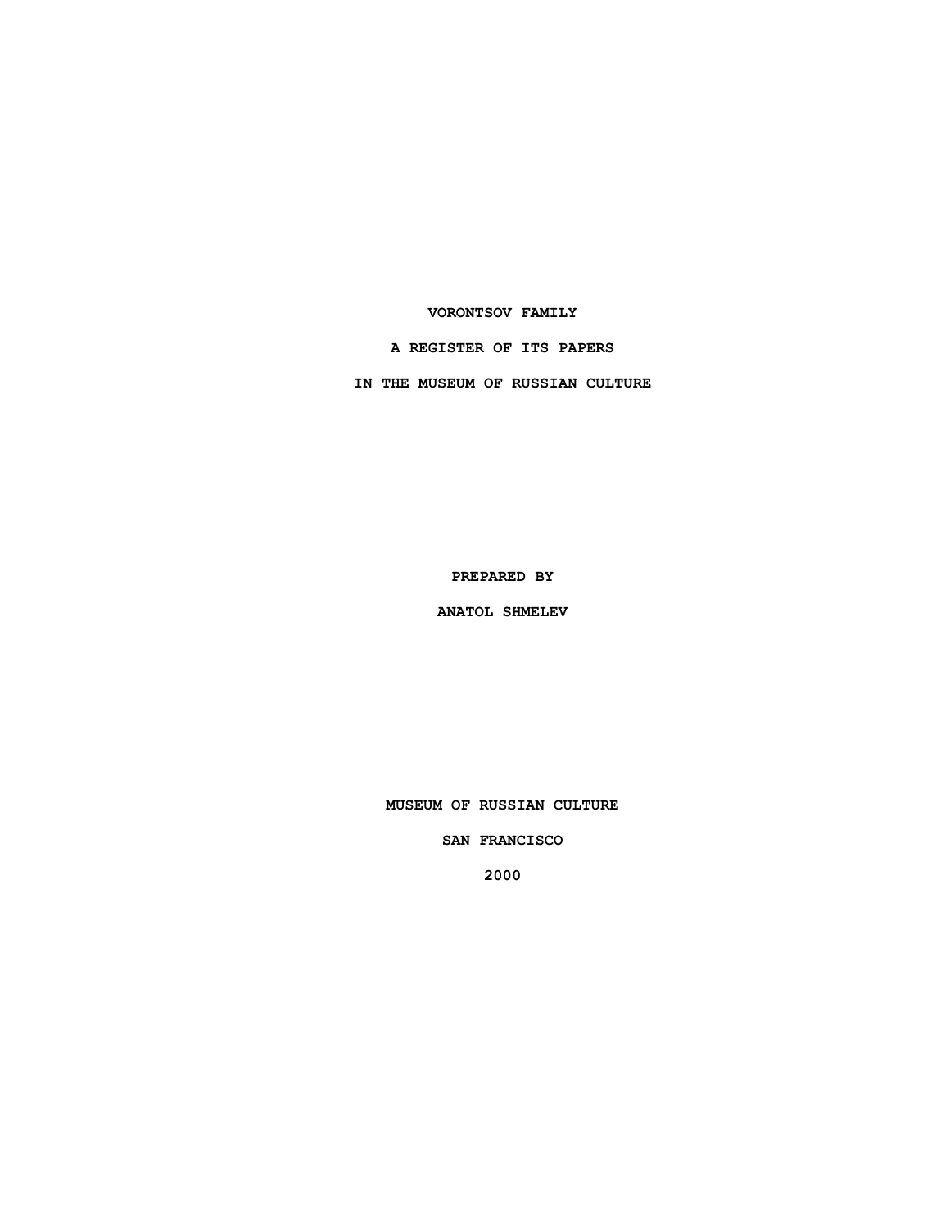## **VORONTSOV FAMILY**

## **A REGISTER OF ITS PAPERS**

**IN THE MUSEUM OF RUSSIAN CULTURE**

**PREPARED BY**

**ANATOL SHMELEV**

**MUSEUM OF RUSSIAN CULTURE**

**SAN FRANCISCO**

**2000**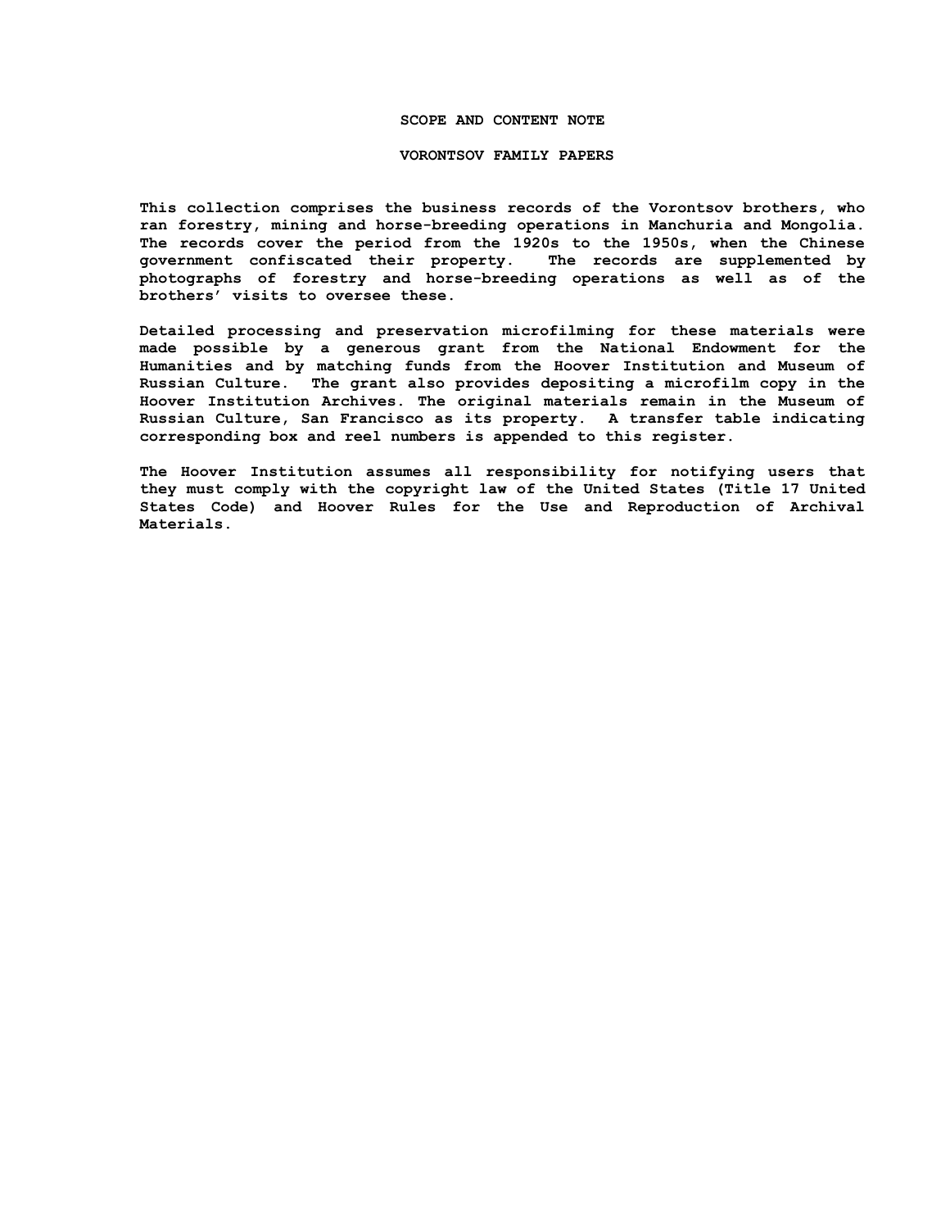### **SCOPE AND CONTENT NOTE**

#### **VORONTSOV FAMILY PAPERS**

**This collection comprises the business records of the Vorontsov brothers, who ran forestry, mining and horse-breeding operations in Manchuria and Mongolia. The records cover the period from the 1920s to the 1950s, when the Chinese government confiscated their property. The records are supplemented by photographs of forestry and horse-breeding operations as well as of the brothers' visits to oversee these.**

**Detailed processing and preservation microfilming for these materials were made possible by a generous grant from the National Endowment for the Humanities and by matching funds from the Hoover Institution and Museum of Russian Culture. The grant also provides depositing a microfilm copy in the Hoover Institution Archives. The original materials remain in the Museum of Russian Culture, San Francisco as its property. A transfer table indicating corresponding box and reel numbers is appended to this register.**

**The Hoover Institution assumes all responsibility for notifying users that they must comply with the copyright law of the United States (Title 17 United States Code) and Hoover Rules for the Use and Reproduction of Archival Materials.**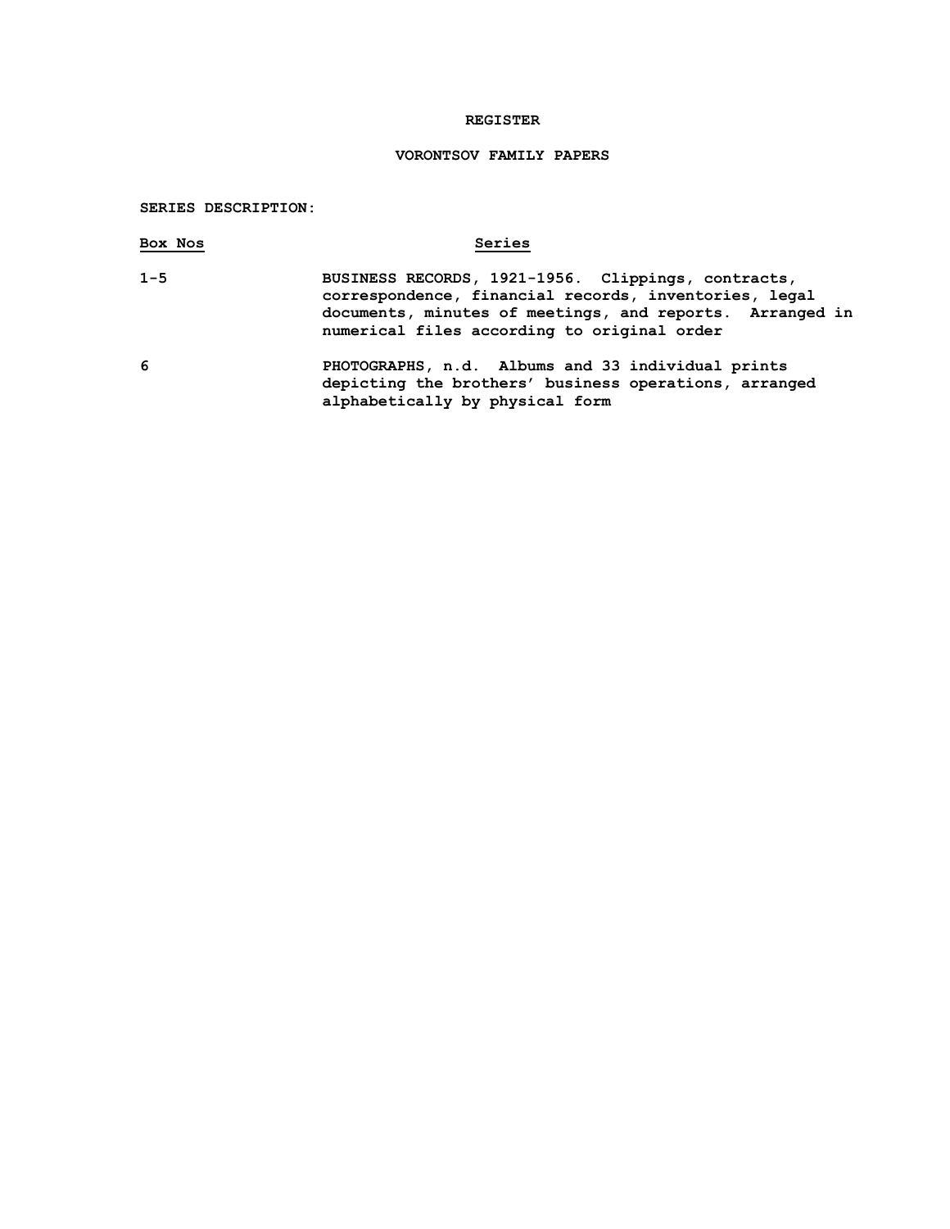# **REGISTER**

# **VORONTSOV FAMILY PAPERS**

## **SERIES DESCRIPTION:**

| Box Nos | Series                                                                                                                                                                                                                 |
|---------|------------------------------------------------------------------------------------------------------------------------------------------------------------------------------------------------------------------------|
| $1 - 5$ | BUSINESS RECORDS, 1921-1956. Clippings, contracts,<br>correspondence, financial records, inventories, legal<br>documents, minutes of meetings, and reports. Arranged in<br>numerical files according to original order |
| 6       | PHOTOGRAPHS, n.d. Albums and 33 individual prints<br>depicting the brothers' business operations, arranged                                                                                                             |

**alphabetically by physical form**